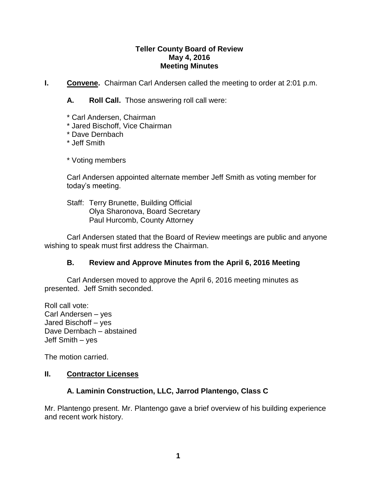### **Teller County Board of Review May 4, 2016 Meeting Minutes**

**I. Convene.** Chairman Carl Andersen called the meeting to order at 2:01 p.m.

**A. Roll Call.** Those answering roll call were:

- \* Carl Andersen, Chairman
- \* Jared Bischoff, Vice Chairman
- \* Dave Dernbach

\* Jeff Smith

\* Voting members

Carl Andersen appointed alternate member Jeff Smith as voting member for today's meeting.

Staff: Terry Brunette, Building Official Olya Sharonova, Board Secretary Paul Hurcomb, County Attorney

Carl Andersen stated that the Board of Review meetings are public and anyone wishing to speak must first address the Chairman.

## **B. Review and Approve Minutes from the April 6, 2016 Meeting**

Carl Andersen moved to approve the April 6, 2016 meeting minutes as presented. Jeff Smith seconded.

Roll call vote: Carl Andersen – yes Jared Bischoff – yes Dave Dernbach – abstained Jeff Smith – yes

The motion carried.

## **II. Contractor Licenses**

# **A. Laminin Construction, LLC, Jarrod Plantengo, Class C**

Mr. Plantengo present. Mr. Plantengo gave a brief overview of his building experience and recent work history.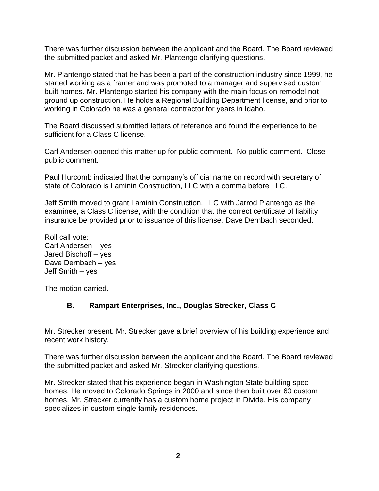There was further discussion between the applicant and the Board. The Board reviewed the submitted packet and asked Mr. Plantengo clarifying questions.

Mr. Plantengo stated that he has been a part of the construction industry since 1999, he started working as a framer and was promoted to a manager and supervised custom built homes. Mr. Plantengo started his company with the main focus on remodel not ground up construction. He holds a Regional Building Department license, and prior to working in Colorado he was a general contractor for years in Idaho.

The Board discussed submitted letters of reference and found the experience to be sufficient for a Class C license.

Carl Andersen opened this matter up for public comment. No public comment. Close public comment.

Paul Hurcomb indicated that the company's official name on record with secretary of state of Colorado is Laminin Construction, LLC with a comma before LLC.

Jeff Smith moved to grant Laminin Construction, LLC with Jarrod Plantengo as the examinee, a Class C license, with the condition that the correct certificate of liability insurance be provided prior to issuance of this license. Dave Dernbach seconded.

Roll call vote: Carl Andersen – yes Jared Bischoff – yes Dave Dernbach – yes Jeff Smith – yes

The motion carried.

## **B. Rampart Enterprises, Inc., Douglas Strecker, Class C**

Mr. Strecker present. Mr. Strecker gave a brief overview of his building experience and recent work history.

There was further discussion between the applicant and the Board. The Board reviewed the submitted packet and asked Mr. Strecker clarifying questions.

Mr. Strecker stated that his experience began in Washington State building spec homes. He moved to Colorado Springs in 2000 and since then built over 60 custom homes. Mr. Strecker currently has a custom home project in Divide. His company specializes in custom single family residences.